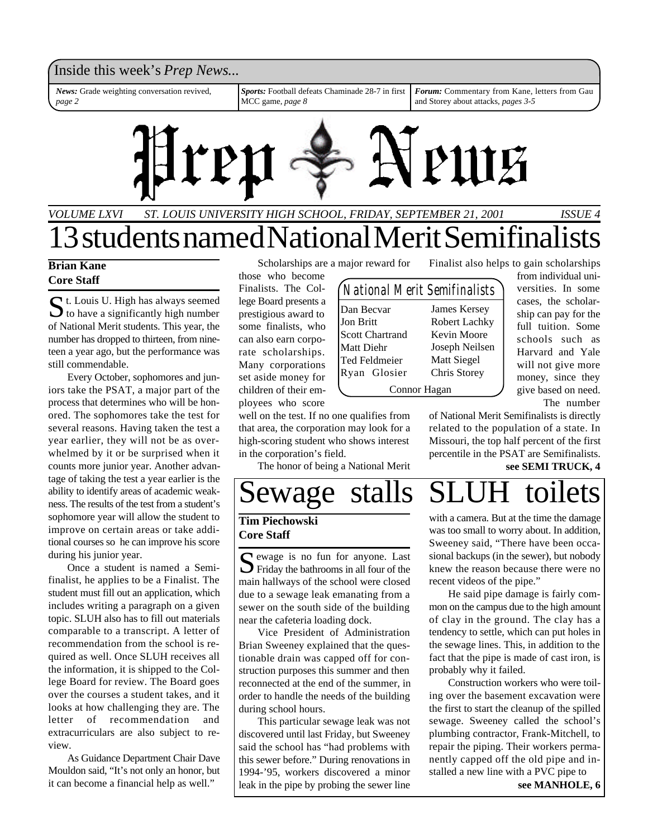### Inside this week's *Prep News*...

*News:* Grade weighting conversation revived, *page 2*

*Sports:* Football defeats Chaminade 28-7 in first MCC game, *page 8*

*Forum:* Commentary from Kane, letters from Gau and Storey about attacks, *pages 3-5*



# *ST. LOUIS UNIVERSITY HIGH SCHOOL, FRIDAY, SEPTEMBER 21, 2001 VOLUME LXVI ISSUE 4* 13 students named National Merit Semifina

### **Brian Kane Core Staff**

 $S_t$  t. Louis U. High has always seemed<br>to have a significantly high number t. Louis U. High has always seemed of National Merit students. This year, the number has dropped to thirteen, from nineteen a year ago, but the performance was still commendable.

Every October, sophomores and juniors take the PSAT, a major part of the process that determines who will be honored. The sophomores take the test for several reasons. Having taken the test a year earlier, they will not be as overwhelmed by it or be surprised when it counts more junior year. Another advantage of taking the test a year earlier is the ability to identify areas of academic weakness. The results of the test from a student's sophomore year will allow the student to improve on certain areas or take additional courses so he can improve his score during his junior year.

Once a student is named a Semifinalist, he applies to be a Finalist. The student must fill out an application, which includes writing a paragraph on a given topic. SLUH also has to fill out materials comparable to a transcript. A letter of recommendation from the school is required as well. Once SLUH receives all the information, it is shipped to the College Board for review. The Board goes over the courses a student takes, and it looks at how challenging they are. The letter of recommendation and extracurriculars are also subject to review.

As Guidance Department Chair Dave Mouldon said, "It's not only an honor, but it can become a financial help as well."

Scholarships are a major reward for

those who become Finalists. The College Board presents a prestigious award to some finalists, who can also earn corporate scholarships. Many corporations set aside money for children of their employees who score

well on the test. If no one qualifies from that area, the corporation may look for a high-scoring student who shows interest in the corporation's field.

The honor of being a National Merit

| National Merit Semifinalists |                |
|------------------------------|----------------|
| Dan Becvar                   | James Kersey   |
| <b>Jon Britt</b>             | Robert Lachky  |
| <b>Scott Chartrand</b>       | Kevin Moore    |
| Matt Diehr                   | Joseph Neilsen |
| Ted Feldmeier                | Matt Siegel    |
| Ryan Glosier                 | Chris Storey   |
| Connor Hagan                 |                |

Finalist also helps to gain scholarships

from individual universities. In some cases, the scholarship can pay for the full tuition. Some schools such as Harvard and Yale will not give more money, since they give based on need. The number

of National Merit Semifinalists is directly related to the population of a state. In Missouri, the top half percent of the first percentile in the PSAT are Semifinalists.

### **see SEMI TRUCK, 4**

# Sewage stalls

### **Tim Piechowski Core Staff**

S ewage is no fun for anyone. Last<br>Friday the bathrooms in all four of the  $\sum$  Friday the bathrooms in all four of the main hallways of the school were closed due to a sewage leak emanating from a sewer on the south side of the building near the cafeteria loading dock.

Vice President of Administration Brian Sweeney explained that the questionable drain was capped off for construction purposes this summer and then reconnected at the end of the summer, in order to handle the needs of the building during school hours.

This particular sewage leak was not discovered until last Friday, but Sweeney said the school has "had problems with this sewer before." During renovations in 1994-'95, workers discovered a minor leak in the pipe by probing the sewer line

with a camera. But at the time the damage was too small to worry about. In addition, Sweeney said, "There have been occasional backups (in the sewer), but nobody knew the reason because there were no recent videos of the pipe."

He said pipe damage is fairly common on the campus due to the high amount of clay in the ground. The clay has a tendency to settle, which can put holes in the sewage lines. This, in addition to the fact that the pipe is made of cast iron, is probably why it failed.

**see MANHOLE, 6** Construction workers who were toiling over the basement excavation were the first to start the cleanup of the spilled sewage. Sweeney called the school's plumbing contractor, Frank-Mitchell, to repair the piping. Their workers permanently capped off the old pipe and installed a new line with a PVC pipe to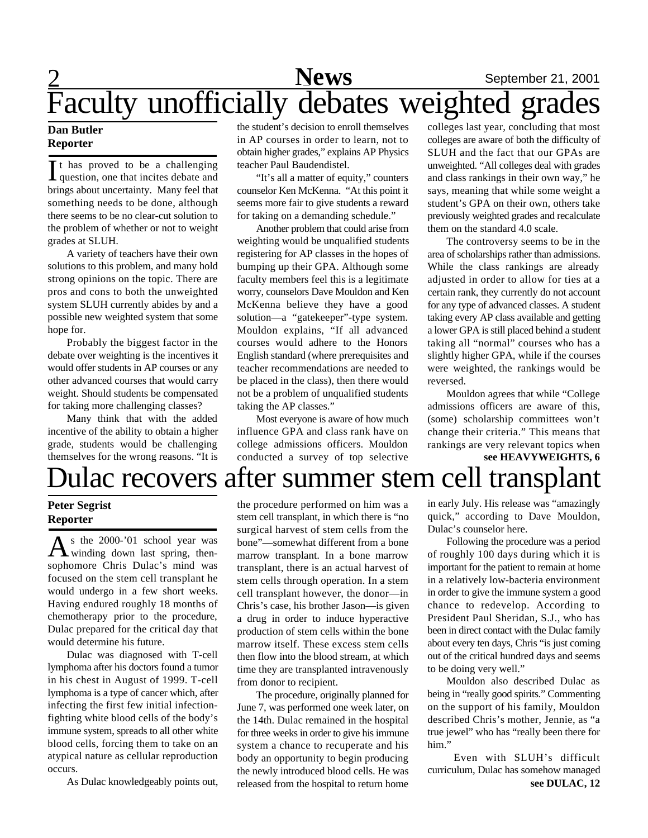## 2 **Sports** September 21, 2001 Faculty unofficially debates weighted grades **News**

### **Dan Butler Reporter**

It has proved to be a challenging<br>question, one that incites debate and t has proved to be a challenging brings about uncertainty. Many feel that something needs to be done, although there seems to be no clear-cut solution to the problem of whether or not to weight grades at SLUH.

A variety of teachers have their own solutions to this problem, and many hold strong opinions on the topic. There are pros and cons to both the unweighted system SLUH currently abides by and a possible new weighted system that some hope for.

Probably the biggest factor in the debate over weighting is the incentives it would offer students in AP courses or any other advanced courses that would carry weight. Should students be compensated for taking more challenging classes?

Many think that with the added incentive of the ability to obtain a higher grade, students would be challenging themselves for the wrong reasons. "It is the student's decision to enroll themselves in AP courses in order to learn, not to obtain higher grades," explains AP Physics teacher Paul Baudendistel.

"It's all a matter of equity," counters counselor Ken McKenna. "At this point it seems more fair to give students a reward for taking on a demanding schedule."

Another problem that could arise from weighting would be unqualified students registering for AP classes in the hopes of bumping up their GPA. Although some faculty members feel this is a legitimate worry, counselors Dave Mouldon and Ken McKenna believe they have a good solution—a "gatekeeper"-type system. Mouldon explains, "If all advanced courses would adhere to the Honors English standard (where prerequisites and teacher recommendations are needed to be placed in the class), then there would not be a problem of unqualified students taking the AP classes."

Most everyone is aware of how much influence GPA and class rank have on college admissions officers. Mouldon conducted a survey of top selective colleges last year, concluding that most colleges are aware of both the difficulty of SLUH and the fact that our GPAs are unweighted. "All colleges deal with grades and class rankings in their own way," he says, meaning that while some weight a student's GPA on their own, others take previously weighted grades and recalculate them on the standard 4.0 scale.

The controversy seems to be in the area of scholarships rather than admissions. While the class rankings are already adjusted in order to allow for ties at a certain rank, they currently do not account for any type of advanced classes. A student taking every AP class available and getting a lower GPA is still placed behind a student taking all "normal" courses who has a slightly higher GPA, while if the courses were weighted, the rankings would be reversed.

Mouldon agrees that while "College admissions officers are aware of this, (some) scholarship committees won't change their criteria." This means that rankings are very relevant topics when **see HEAVYWEIGHTS, 6**

# Dulac recovers after summer stem cell transplant

### **Peter Segrist Reporter**

As the 2000-'01 school year was<br>winding down last spring, thens the 2000-'01 school year was sophomore Chris Dulac's mind was focused on the stem cell transplant he would undergo in a few short weeks. Having endured roughly 18 months of chemotherapy prior to the procedure, Dulac prepared for the critical day that would determine his future.

Dulac was diagnosed with T-cell lymphoma after his doctors found a tumor in his chest in August of 1999. T-cell lymphoma is a type of cancer which, after infecting the first few initial infectionfighting white blood cells of the body's immune system, spreads to all other white blood cells, forcing them to take on an atypical nature as cellular reproduction occurs.

As Dulac knowledgeably points out,

the procedure performed on him was a stem cell transplant, in which there is "no surgical harvest of stem cells from the bone"—somewhat different from a bone marrow transplant. In a bone marrow transplant, there is an actual harvest of stem cells through operation. In a stem cell transplant however, the donor—in Chris's case, his brother Jason—is given a drug in order to induce hyperactive production of stem cells within the bone marrow itself. These excess stem cells then flow into the blood stream, at which time they are transplanted intravenously from donor to recipient.

The procedure, originally planned for June 7, was performed one week later, on the 14th. Dulac remained in the hospital for three weeks in order to give his immune system a chance to recuperate and his body an opportunity to begin producing the newly introduced blood cells. He was released from the hospital to return home in early July. His release was "amazingly quick," according to Dave Mouldon, Dulac's counselor here.

Following the procedure was a period of roughly 100 days during which it is important for the patient to remain at home in a relatively low-bacteria environment in order to give the immune system a good chance to redevelop. According to President Paul Sheridan, S.J., who has been in direct contact with the Dulac family about every ten days, Chris "is just coming out of the critical hundred days and seems to be doing very well."

Mouldon also described Dulac as being in "really good spirits." Commenting on the support of his family, Mouldon described Chris's mother, Jennie, as "a true jewel" who has "really been there for him."

Even with SLUH's difficult curriculum, Dulac has somehow managed **see DULAC, 12**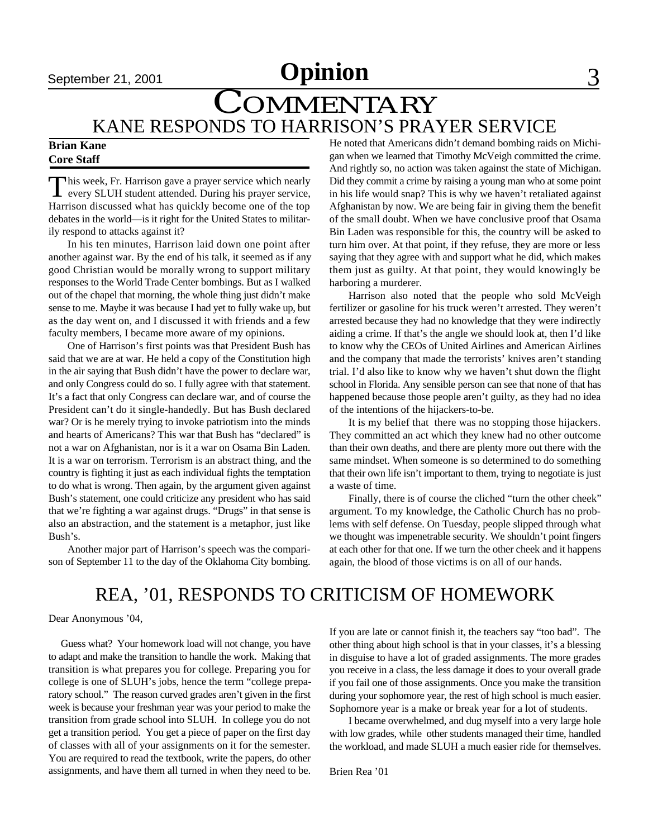# September 21, 2001 **Opinion** 3

# COMMENTARY KANE RESPONDS TO HARRISON'S PRAYER SERVICE

### **Brian Kane Core Staff**

This week, Fr. Harrison gave a prayer service which nearly<br>every SLUH student attended. During his prayer service,  $\Box$  his week, Fr. Harrison gave a prayer service which nearly Harrison discussed what has quickly become one of the top debates in the world—is it right for the United States to militarily respond to attacks against it?

In his ten minutes, Harrison laid down one point after another against war. By the end of his talk, it seemed as if any good Christian would be morally wrong to support military responses to the World Trade Center bombings. But as I walked out of the chapel that morning, the whole thing just didn't make sense to me. Maybe it was because I had yet to fully wake up, but as the day went on, and I discussed it with friends and a few faculty members, I became more aware of my opinions.

One of Harrison's first points was that President Bush has said that we are at war. He held a copy of the Constitution high in the air saying that Bush didn't have the power to declare war, and only Congress could do so. I fully agree with that statement. It's a fact that only Congress can declare war, and of course the President can't do it single-handedly. But has Bush declared war? Or is he merely trying to invoke patriotism into the minds and hearts of Americans? This war that Bush has "declared" is not a war on Afghanistan, nor is it a war on Osama Bin Laden. It is a war on terrorism. Terrorism is an abstract thing, and the country is fighting it just as each individual fights the temptation to do what is wrong. Then again, by the argument given against Bush's statement, one could criticize any president who has said that we're fighting a war against drugs. "Drugs" in that sense is also an abstraction, and the statement is a metaphor, just like Bush's.

Another major part of Harrison's speech was the comparison of September 11 to the day of the Oklahoma City bombing.

He noted that Americans didn't demand bombing raids on Michigan when we learned that Timothy McVeigh committed the crime. And rightly so, no action was taken against the state of Michigan. Did they commit a crime by raising a young man who at some point in his life would snap? This is why we haven't retaliated against Afghanistan by now. We are being fair in giving them the benefit of the small doubt. When we have conclusive proof that Osama Bin Laden was responsible for this, the country will be asked to turn him over. At that point, if they refuse, they are more or less saying that they agree with and support what he did, which makes them just as guilty. At that point, they would knowingly be harboring a murderer.

Harrison also noted that the people who sold McVeigh fertilizer or gasoline for his truck weren't arrested. They weren't arrested because they had no knowledge that they were indirectly aiding a crime. If that's the angle we should look at, then I'd like to know why the CEOs of United Airlines and American Airlines and the company that made the terrorists' knives aren't standing trial. I'd also like to know why we haven't shut down the flight school in Florida. Any sensible person can see that none of that has happened because those people aren't guilty, as they had no idea of the intentions of the hijackers-to-be.

It is my belief that there was no stopping those hijackers. They committed an act which they knew had no other outcome than their own deaths, and there are plenty more out there with the same mindset. When someone is so determined to do something that their own life isn't important to them, trying to negotiate is just a waste of time.

Finally, there is of course the cliched "turn the other cheek" argument. To my knowledge, the Catholic Church has no problems with self defense. On Tuesday, people slipped through what we thought was impenetrable security. We shouldn't point fingers at each other for that one. If we turn the other cheek and it happens again, the blood of those victims is on all of our hands.

## REA, '01, RESPONDS TO CRITICISM OF HOMEWORK

Dear Anonymous '04,

 Guess what? Your homework load will not change, you have to adapt and make the transition to handle the work. Making that transition is what prepares you for college. Preparing you for college is one of SLUH's jobs, hence the term "college preparatory school." The reason curved grades aren't given in the first week is because your freshman year was your period to make the transition from grade school into SLUH. In college you do not get a transition period. You get a piece of paper on the first day of classes with all of your assignments on it for the semester. You are required to read the textbook, write the papers, do other assignments, and have them all turned in when they need to be. If you are late or cannot finish it, the teachers say "too bad". The other thing about high school is that in your classes, it's a blessing in disguise to have a lot of graded assignments. The more grades you receive in a class, the less damage it does to your overall grade if you fail one of those assignments. Once you make the transition during your sophomore year, the rest of high school is much easier. Sophomore year is a make or break year for a lot of students.

I became overwhelmed, and dug myself into a very large hole with low grades, while other students managed their time, handled the workload, and made SLUH a much easier ride for themselves.

Brien Rea '01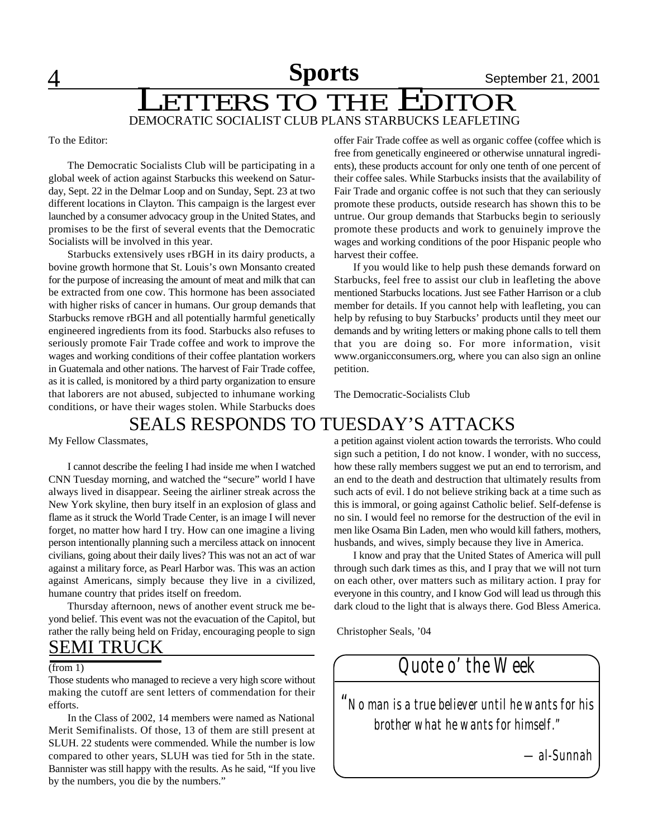4 **Sports** September 21, 2001

# DEMOCRATIC SOCIALIST CLUB PLANS STARBUCKS LEAFLETING Sports September 21, 2001<br>ETTERS TO THE EDITOR

To the Editor:

The Democratic Socialists Club will be participating in a global week of action against Starbucks this weekend on Saturday, Sept. 22 in the Delmar Loop and on Sunday, Sept. 23 at two different locations in Clayton. This campaign is the largest ever launched by a consumer advocacy group in the United States, and promises to be the first of several events that the Democratic Socialists will be involved in this year.

Starbucks extensively uses rBGH in its dairy products, a bovine growth hormone that St. Louis's own Monsanto created for the purpose of increasing the amount of meat and milk that can be extracted from one cow. This hormone has been associated with higher risks of cancer in humans. Our group demands that Starbucks remove rBGH and all potentially harmful genetically engineered ingredients from its food. Starbucks also refuses to seriously promote Fair Trade coffee and work to improve the wages and working conditions of their coffee plantation workers in Guatemala and other nations. The harvest of Fair Trade coffee, as it is called, is monitored by a third party organization to ensure that laborers are not abused, subjected to inhumane working conditions, or have their wages stolen. While Starbucks does

offer Fair Trade coffee as well as organic coffee (coffee which is free from genetically engineered or otherwise unnatural ingredients), these products account for only one tenth of one percent of their coffee sales. While Starbucks insists that the availability of Fair Trade and organic coffee is not such that they can seriously promote these products, outside research has shown this to be untrue. Our group demands that Starbucks begin to seriously promote these products and work to genuinely improve the wages and working conditions of the poor Hispanic people who harvest their coffee.

If you would like to help push these demands forward on Starbucks, feel free to assist our club in leafleting the above mentioned Starbucks locations. Just see Father Harrison or a club member for details. If you cannot help with leafleting, you can help by refusing to buy Starbucks' products until they meet our demands and by writing letters or making phone calls to tell them that you are doing so. For more information, visit www.organicconsumers.org, where you can also sign an online petition.

The Democratic-Socialists Club

## SEALS RESPONDS TO TUESDAY'S ATTACKS

My Fellow Classmates,

I cannot describe the feeling I had inside me when I watched CNN Tuesday morning, and watched the "secure" world I have always lived in disappear. Seeing the airliner streak across the New York skyline, then bury itself in an explosion of glass and flame as it struck the World Trade Center, is an image I will never forget, no matter how hard I try. How can one imagine a living person intentionally planning such a merciless attack on innocent civilians, going about their daily lives? This was not an act of war against a military force, as Pearl Harbor was. This was an action against Americans, simply because they live in a civilized, humane country that prides itself on freedom.

Thursday afternoon, news of another event struck me beyond belief. This event was not the evacuation of the Capitol, but rather the rally being held on Friday, encouraging people to sign

## SEMI TRUCK

#### (from 1)

Those students who managed to recieve a very high score without making the cutoff are sent letters of commendation for their efforts.

In the Class of 2002, 14 members were named as National Merit Semifinalists. Of those, 13 of them are still present at SLUH. 22 students were commended. While the number is low compared to other years, SLUH was tied for 5th in the state. Bannister was still happy with the results. As he said, "If you live by the numbers, you die by the numbers."

a petition against violent action towards the terrorists. Who could sign such a petition, I do not know. I wonder, with no success, how these rally members suggest we put an end to terrorism, and an end to the death and destruction that ultimately results from such acts of evil. I do not believe striking back at a time such as this is immoral, or going against Catholic belief. Self-defense is no sin. I would feel no remorse for the destruction of the evil in men like Osama Bin Laden, men who would kill fathers, mothers, husbands, and wives, simply because they live in America.

I know and pray that the United States of America will pull through such dark times as this, and I pray that we will not turn on each other, over matters such as military action. I pray for everyone in this country, and I know God will lead us through this dark cloud to the light that is always there. God Bless America.

Christopher Seals, '04

*Quote o' the Week*

*"No man is a true believer until he wants for his brother what he wants for himself."*

 *—al-Sunnah*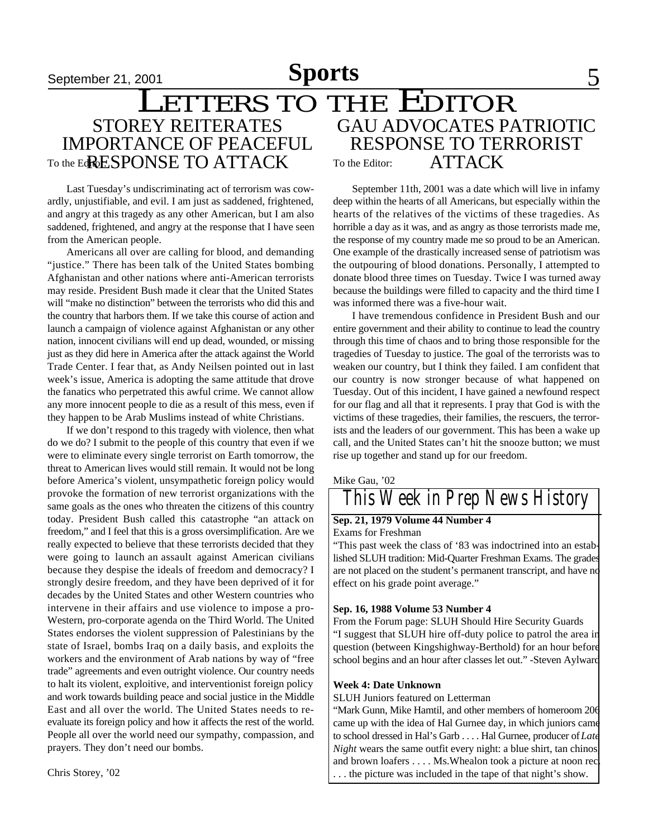### September 21, 2001 **Sports** 5 GAU ADVOCATES PATRIOTIC RESPONSE TO TERRORIST To the Editor: ATTACK STOREY REITERATES IMPORTANCE OF PEACEFUL To the EdreSPONSE TO ATTACK September 21, 2001<br>
LETTERS TO THE EDITOR

Last Tuesday's undiscriminating act of terrorism was cowardly, unjustifiable, and evil. I am just as saddened, frightened, and angry at this tragedy as any other American, but I am also saddened, frightened, and angry at the response that I have seen from the American people.

Americans all over are calling for blood, and demanding "justice." There has been talk of the United States bombing Afghanistan and other nations where anti-American terrorists may reside. President Bush made it clear that the United States will "make no distinction" between the terrorists who did this and the country that harbors them. If we take this course of action and launch a campaign of violence against Afghanistan or any other nation, innocent civilians will end up dead, wounded, or missing just as they did here in America after the attack against the World Trade Center. I fear that, as Andy Neilsen pointed out in last week's issue, America is adopting the same attitude that drove the fanatics who perpetrated this awful crime. We cannot allow any more innocent people to die as a result of this mess, even if they happen to be Arab Muslims instead of white Christians.

If we don't respond to this tragedy with violence, then what do we do? I submit to the people of this country that even if we were to eliminate every single terrorist on Earth tomorrow, the threat to American lives would still remain. It would not be long before America's violent, unsympathetic foreign policy would provoke the formation of new terrorist organizations with the same goals as the ones who threaten the citizens of this country today. President Bush called this catastrophe "an attack on freedom," and I feel that this is a gross oversimplification. Are we really expected to believe that these terrorists decided that they were going to launch an assault against American civilians because they despise the ideals of freedom and democracy? I strongly desire freedom, and they have been deprived of it for decades by the United States and other Western countries who intervene in their affairs and use violence to impose a pro-Western, pro-corporate agenda on the Third World. The United States endorses the violent suppression of Palestinians by the state of Israel, bombs Iraq on a daily basis, and exploits the workers and the environment of Arab nations by way of "free trade" agreements and even outright violence. Our country needs to halt its violent, exploitive, and interventionist foreign policy and work towards building peace and social justice in the Middle East and all over the world. The United States needs to reevaluate its foreign policy and how it affects the rest of the world. People all over the world need our sympathy, compassion, and prayers. They don't need our bombs.

Chris Storey, '02

September 11th, 2001 was a date which will live in infamy deep within the hearts of all Americans, but especially within the hearts of the relatives of the victims of these tragedies. As horrible a day as it was, and as angry as those terrorists made me, the response of my country made me so proud to be an American. One example of the drastically increased sense of patriotism was the outpouring of blood donations. Personally, I attempted to donate blood three times on Tuesday. Twice I was turned away because the buildings were filled to capacity and the third time I was informed there was a five-hour wait.

I have tremendous confidence in President Bush and our entire government and their ability to continue to lead the country through this time of chaos and to bring those responsible for the tragedies of Tuesday to justice. The goal of the terrorists was to weaken our country, but I think they failed. I am confident that our country is now stronger because of what happened on Tuesday. Out of this incident, I have gained a newfound respect for our flag and all that it represents. I pray that God is with the victims of these tragedies, their families, the rescuers, the terrorists and the leaders of our government. This has been a wake up call, and the United States can't hit the snooze button; we must rise up together and stand up for our freedom.

#### Mike Gau, '02

# *This Week in Prep News History*

### **Sep. 21, 1979 Volume 44 Number 4**

Exams for Freshman

"This past week the class of '83 was indoctrined into an established SLUH tradition: Mid-Quarter Freshman Exams. The grades are not placed on the student's permanent transcript, and have no effect on his grade point average."

### **Sep. 16, 1988 Volume 53 Number 4**

From the Forum page: SLUH Should Hire Security Guards "I suggest that SLUH hire off-duty police to patrol the area in question (between Kingshighway-Berthold) for an hour before school begins and an hour after classes let out." -Steven Aylward

#### **Week 4: Date Unknown**

SLUH Juniors featured on Letterman

"Mark Gunn, Mike Hamtil, and other members of homeroom 206 came up with the idea of Hal Gurnee day, in which juniors came to school dressed in Hal's Garb . . . . Hal Gurnee, producer of *Late Night* wears the same outfit every night: a blue shirt, tan chinos and brown loafers . . . . Ms. Whealon took a picture at noon rec . . . the picture was included in the tape of that night's show.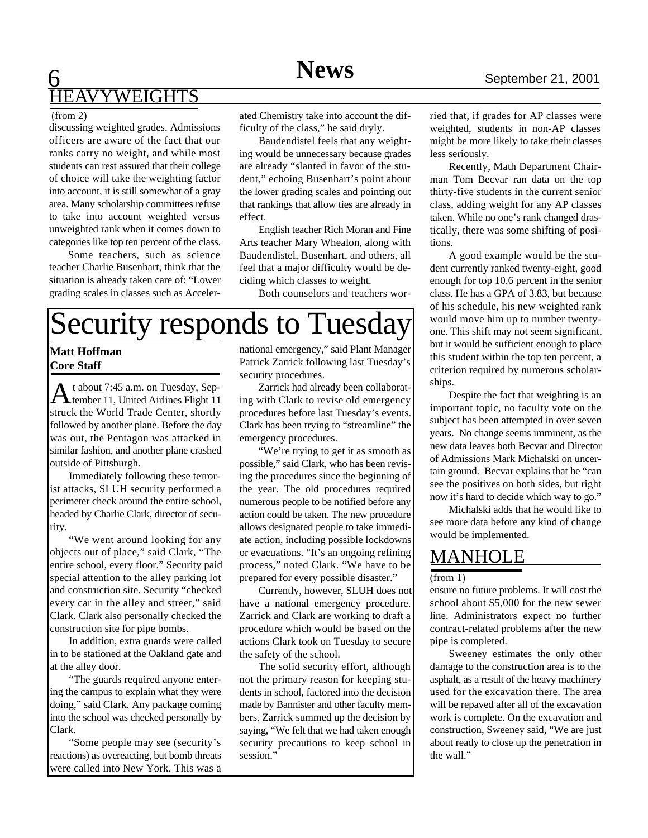## 6 **Sports** September 21, 2001 YWEIGHTS

#### (from 2)

discussing weighted grades. Admissions officers are aware of the fact that our ranks carry no weight, and while most students can rest assured that their college of choice will take the weighting factor into account, it is still somewhat of a gray area. Many scholarship committees refuse to take into account weighted versus unweighted rank when it comes down to categories like top ten percent of the class.

Some teachers, such as science teacher Charlie Busenhart, think that the situation is already taken care of: "Lower grading scales in classes such as Accelerated Chemistry take into account the difficulty of the class," he said dryly.

Baudendistel feels that any weighting would be unnecessary because grades are already "slanted in favor of the student," echoing Busenhart's point about the lower grading scales and pointing out that rankings that allow ties are already in effect.

English teacher Rich Moran and Fine Arts teacher Mary Whealon, along with Baudendistel, Busenhart, and others, all feel that a major difficulty would be deciding which classes to weight.

Both counselors and teachers wor-

# Security responds to Tuesday

### **Matt Hoffman Core Staff**

A t about 7:45 a.m. on Tuesday, Sep-<br>tember 11, United Airlines Flight 11 tember 11, United Airlines Flight 11 struck the World Trade Center, shortly followed by another plane. Before the day was out, the Pentagon was attacked in similar fashion, and another plane crashed outside of Pittsburgh.

Immediately following these terrorist attacks, SLUH security performed a perimeter check around the entire school, headed by Charlie Clark, director of security.

"We went around looking for any objects out of place," said Clark, "The entire school, every floor." Security paid special attention to the alley parking lot and construction site. Security "checked every car in the alley and street," said Clark. Clark also personally checked the construction site for pipe bombs.

In addition, extra guards were called in to be stationed at the Oakland gate and at the alley door.

"The guards required anyone entering the campus to explain what they were doing," said Clark. Any package coming into the school was checked personally by Clark.

"Some people may see (security's reactions) as overeacting, but bomb threats were called into New York. This was a

national emergency," said Plant Manager Patrick Zarrick following last Tuesday's security procedures.

Zarrick had already been collaborating with Clark to revise old emergency procedures before last Tuesday's events. Clark has been trying to "streamline" the emergency procedures.

"We're trying to get it as smooth as possible," said Clark, who has been revising the procedures since the beginning of the year. The old procedures required numerous people to be notified before any action could be taken. The new procedure allows designated people to take immediate action, including possible lockdowns or evacuations. "It's an ongoing refining process," noted Clark. "We have to be prepared for every possible disaster."

Currently, however, SLUH does not have a national emergency procedure. Zarrick and Clark are working to draft a procedure which would be based on the actions Clark took on Tuesday to secure the safety of the school.

The solid security effort, although not the primary reason for keeping students in school, factored into the decision made by Bannister and other faculty members. Zarrick summed up the decision by saying, "We felt that we had taken enough security precautions to keep school in session."

ried that, if grades for AP classes were weighted, students in non-AP classes might be more likely to take their classes less seriously.

Recently, Math Department Chairman Tom Becvar ran data on the top thirty-five students in the current senior class, adding weight for any AP classes taken. While no one's rank changed drastically, there was some shifting of positions.

A good example would be the student currently ranked twenty-eight, good enough for top 10.6 percent in the senior class. He has a GPA of 3.83, but because of his schedule, his new weighted rank would move him up to number twentyone. This shift may not seem significant, but it would be sufficient enough to place this student within the top ten percent, a criterion required by numerous scholarships.

Despite the fact that weighting is an important topic, no faculty vote on the subject has been attempted in over seven years. No change seems imminent, as the new data leaves both Becvar and Director of Admissions Mark Michalski on uncertain ground. Becvar explains that he "can see the positives on both sides, but right now it's hard to decide which way to go."

Michalski adds that he would like to see more data before any kind of change would be implemented.

## MANHOLE

#### $(from 1)$

ensure no future problems. It will cost the school about \$5,000 for the new sewer line. Administrators expect no further contract-related problems after the new pipe is completed.

Sweeney estimates the only other damage to the construction area is to the asphalt, as a result of the heavy machinery used for the excavation there. The area will be repaved after all of the excavation work is complete. On the excavation and construction, Sweeney said, "We are just about ready to close up the penetration in the wall."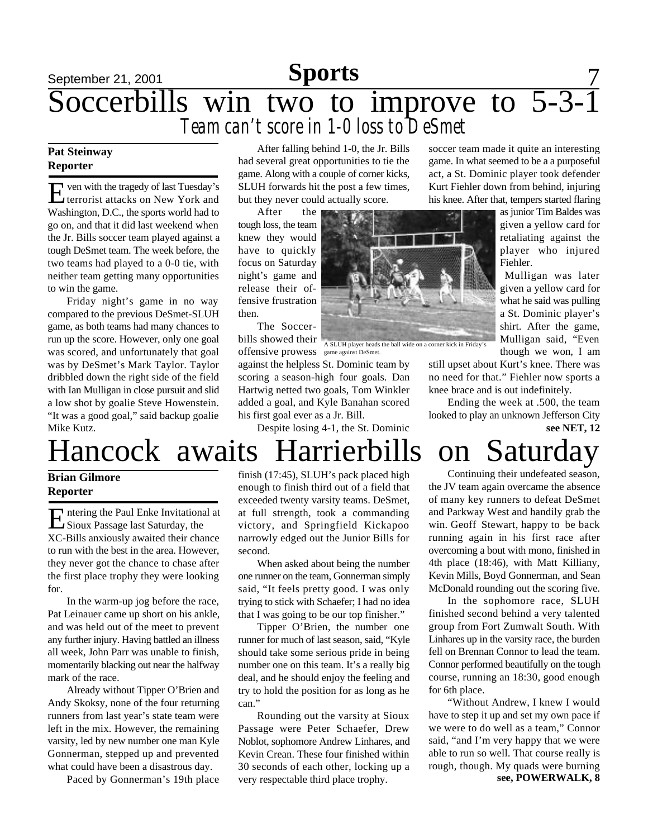# September 21, 2001 **Sports** 7 Soccerbills win two to improve to 5-3-1 *Team can't score in 1-0 loss to DeSmet*

### **Pat Steinway Reporter**

Even with the tragedy of last Tuesday's<br>terrorist attacks on New York and ven with the tragedy of last Tuesday's Washington, D.C., the sports world had to go on, and that it did last weekend when the Jr. Bills soccer team played against a tough DeSmet team. The week before, the two teams had played to a 0-0 tie, with neither team getting many opportunities to win the game.

Friday night's game in no way compared to the previous DeSmet-SLUH game, as both teams had many chances to run up the score. However, only one goal was scored, and unfortunately that goal was by DeSmet's Mark Taylor. Taylor dribbled down the right side of the field with Ian Mulligan in close pursuit and slid a low shot by goalie Steve Howenstein. "It was a good goal," said backup goalie Mike Kutz.

After falling behind 1-0, the Jr. Bills had several great opportunities to tie the game. Along with a couple of corner kicks, SLUH forwards hit the post a few times, but they never could actually score.

After the tough loss, the team knew they would have to quickly focus on Saturday night's game and release their offensive frustration then.

The Soccerbills showed their

against the helpless St. Dominic team by scoring a season-high four goals. Dan Hartwig netted two goals, Tom Winkler added a goal, and Kyle Banahan scored his first goal ever as a Jr. Bill.

Despite losing 4-1, the St. Dominic

soccer team made it quite an interesting game. In what seemed to be a a purposeful act, a St. Dominic player took defender Kurt Fiehler down from behind, injuring his knee. After that, tempers started flaring

> as junior Tim Baldes was given a yellow card for retaliating against the player who injured Fiehler.

> Mulligan was later given a yellow card for what he said was pulling a St. Dominic player's shirt. After the game, Mulligan said, "Even though we won, I am

still upset about Kurt's knee. There was no need for that." Fiehler now sports a knee brace and is out indefinitely.

Ending the week at .500, the team looked to play an unknown Jefferson City **see NET, 12**

# Hancock awaits Harrierbills on Saturday

### **Brian Gilmore Reporter**

Entering the Paul Enke Invitational at<br>Sioux Passage last Saturday, the Sioux Passage last Saturday, the XC-Bills anxiously awaited their chance to run with the best in the area. However, they never got the chance to chase after the first place trophy they were looking for.

In the warm-up jog before the race, Pat Leinauer came up short on his ankle, and was held out of the meet to prevent any further injury. Having battled an illness all week, John Parr was unable to finish, momentarily blacking out near the halfway mark of the race.

Already without Tipper O'Brien and Andy Skoksy, none of the four returning runners from last year's state team were left in the mix. However, the remaining varsity, led by new number one man Kyle Gonnerman, stepped up and prevented what could have been a disastrous day.

Paced by Gonnerman's 19th place

finish (17:45), SLUH's pack placed high enough to finish third out of a field that exceeded twenty varsity teams. DeSmet, at full strength, took a commanding victory, and Springfield Kickapoo narrowly edged out the Junior Bills for second.

When asked about being the number one runner on the team, Gonnerman simply said, "It feels pretty good. I was only trying to stick with Schaefer; I had no idea that I was going to be our top finisher."

Tipper O'Brien, the number one runner for much of last season, said, "Kyle should take some serious pride in being number one on this team. It's a really big deal, and he should enjoy the feeling and try to hold the position for as long as he can."

Rounding out the varsity at Sioux Passage were Peter Schaefer, Drew Noblot, sophomore Andrew Linhares, and Kevin Crean. These four finished within 30 seconds of each other, locking up a very respectable third place trophy.

Continuing their undefeated season, the JV team again overcame the absence of many key runners to defeat DeSmet and Parkway West and handily grab the win. Geoff Stewart, happy to be back running again in his first race after overcoming a bout with mono, finished in 4th place (18:46), with Matt Killiany, Kevin Mills, Boyd Gonnerman, and Sean McDonald rounding out the scoring five.

In the sophomore race, SLUH finished second behind a very talented group from Fort Zumwalt South. With Linhares up in the varsity race, the burden fell on Brennan Connor to lead the team. Connor performed beautifully on the tough course, running an 18:30, good enough for 6th place.

"Without Andrew, I knew I would have to step it up and set my own pace if we were to do well as a team," Connor said, "and I'm very happy that we were able to run so well. That course really is rough, though. My quads were burning **see, POWERWALK, 8**



offensive prowess game against DeSmet.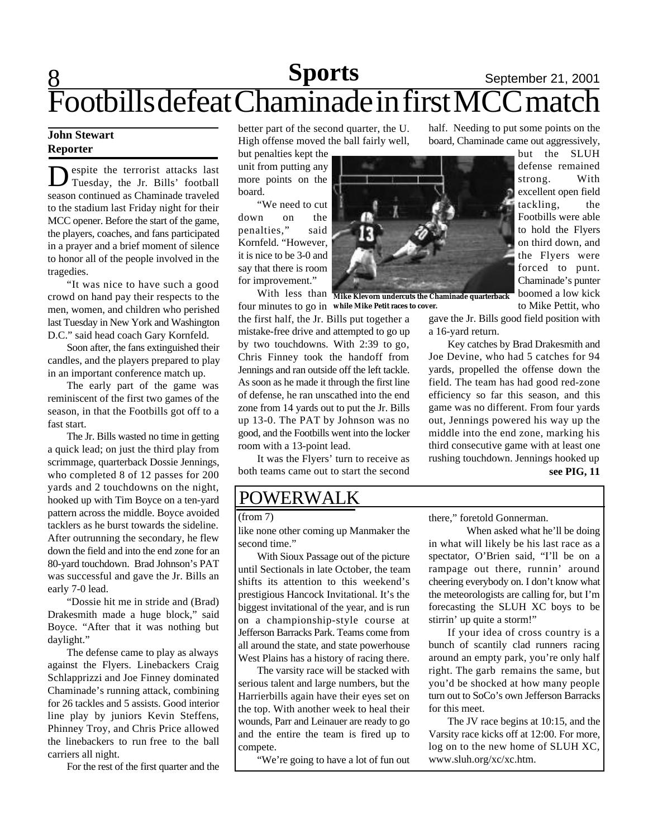# 8 **Sports** September 21, 2001 Footbills defeat Chaminade in first MCC match

### **John Stewart Reporter**

Despite the terrorist attacks last<br>Tuesday, the Jr. Bills' football espite the terrorist attacks last season continued as Chaminade traveled to the stadium last Friday night for their MCC opener. Before the start of the game, the players, coaches, and fans participated in a prayer and a brief moment of silence to honor all of the people involved in the tragedies.

"It was nice to have such a good crowd on hand pay their respects to the men, women, and children who perished last Tuesday in New York and Washington D.C." said head coach Gary Kornfeld.

Soon after, the fans extinguished their candles, and the players prepared to play in an important conference match up.

The early part of the game was reminiscent of the first two games of the season, in that the Footbills got off to a fast start.

The Jr. Bills wasted no time in getting a quick lead; on just the third play from scrimmage, quarterback Dossie Jennings, who completed 8 of 12 passes for 200 yards and 2 touchdowns on the night, hooked up with Tim Boyce on a ten-yard pattern across the middle. Boyce avoided tacklers as he burst towards the sideline. After outrunning the secondary, he flew down the field and into the end zone for an 80-yard touchdown. Brad Johnson's PAT was successful and gave the Jr. Bills an early 7-0 lead.

"Dossie hit me in stride and (Brad) Drakesmith made a huge block," said Boyce. "After that it was nothing but daylight."

The defense came to play as always against the Flyers. Linebackers Craig Schlapprizzi and Joe Finney dominated Chaminade's running attack, combining for 26 tackles and 5 assists. Good interior line play by juniors Kevin Steffens, Phinney Troy, and Chris Price allowed the linebackers to run free to the ball carriers all night.

For the rest of the first quarter and the

better part of the second quarter, the U. High offense moved the ball fairly well,

but penalties kept the unit from putting any more points on the board.

"We need to cut down on the penalties," said Kornfeld. "However, it is nice to be 3-0 and say that there is room for improvement."

With less than **Mike Klevorn undercuts the Chaminade quarterback** four minutes to go in **while Mike Petit races to cover.**the first half, the Jr. Bills put together a mistake-free drive and attempted to go up by two touchdowns. With 2:39 to go, Chris Finney took the handoff from Jennings and ran outside off the left tackle. As soon as he made it through the first line of defense, he ran unscathed into the end zone from 14 yards out to put the Jr. Bills up 13-0. The PAT by Johnson was no good, and the Footbills went into the locker room with a 13-point lead.

It was the Flyers' turn to receive as both teams came out to start the second

## POWERWALK

(from 7)

like none other coming up Manmaker the second time."

With Sioux Passage out of the picture until Sectionals in late October, the team shifts its attention to this weekend's prestigious Hancock Invitational. It's the biggest invitational of the year, and is run on a championship-style course at Jefferson Barracks Park. Teams come from all around the state, and state powerhouse West Plains has a history of racing there.

The varsity race will be stacked with serious talent and large numbers, but the Harrierbills again have their eyes set on the top. With another week to heal their wounds, Parr and Leinauer are ready to go and the entire the team is fired up to compete.

"We're going to have a lot of fun out

half. Needing to put some points on the board, Chaminade came out aggressively,

> but the SLUH defense remained strong. With excellent open field tackling, the Footbills were able to hold the Flyers on third down, and the Flyers were forced to punt. Chaminade's punter boomed a low kick to Mike Pettit, who

gave the Jr. Bills good field position with a 16-yard return.

Key catches by Brad Drakesmith and Joe Devine, who had 5 catches for 94 yards, propelled the offense down the field. The team has had good red-zone efficiency so far this season, and this game was no different. From four yards out, Jennings powered his way up the middle into the end zone, marking his third consecutive game with at least one rushing touchdown. Jennings hooked up **see PIG, 11**

there," foretold Gonnerman.

When asked what he'll be doing in what will likely be his last race as a spectator, O'Brien said, "I'll be on a rampage out there, runnin' around cheering everybody on. I don't know what the meteorologists are calling for, but I'm forecasting the SLUH XC boys to be stirrin' up quite a storm!"

If your idea of cross country is a bunch of scantily clad runners racing around an empty park, you're only half right. The garb remains the same, but you'd be shocked at how many people turn out to SoCo's own Jefferson Barracks for this meet.

The JV race begins at 10:15, and the Varsity race kicks off at 12:00. For more, log on to the new home of SLUH XC, www.sluh.org/xc/xc.htm.

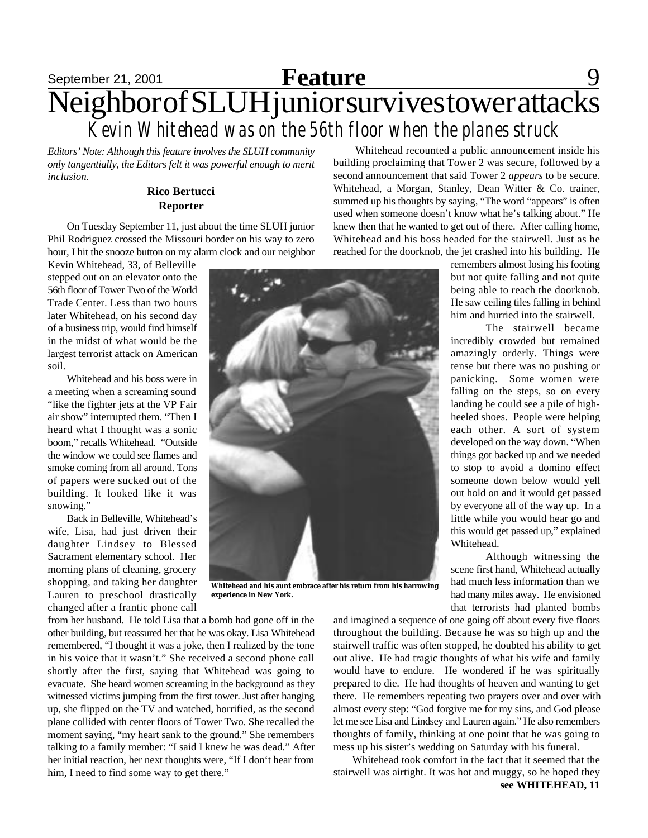## September 21, 2001 **Feature** 9 Neighbor of SLUH junior survives tower attacks *Kevin Whitehead was on the 56th floor when the planes struck* **Feature**

*Editors' Note: Although this feature involves the SLUH community only tangentially, the Editors felt it was powerful enough to merit inclusion.*

### **Rico Bertucci Reporter**

On Tuesday September 11, just about the time SLUH junior Phil Rodriguez crossed the Missouri border on his way to zero hour, I hit the snooze button on my alarm clock and our neighbor

Kevin Whitehead, 33, of Belleville stepped out on an elevator onto the 56th floor of Tower Two of the World Trade Center. Less than two hours later Whitehead, on his second day of a business trip, would find himself in the midst of what would be the largest terrorist attack on American soil.

Whitehead and his boss were in a meeting when a screaming sound "like the fighter jets at the VP Fair air show" interrupted them. "Then I heard what I thought was a sonic boom," recalls Whitehead. "Outside the window we could see flames and smoke coming from all around. Tons of papers were sucked out of the building. It looked like it was snowing."

Back in Belleville, Whitehead's wife, Lisa, had just driven their daughter Lindsey to Blessed Sacrament elementary school. Her morning plans of cleaning, grocery shopping, and taking her daughter Lauren to preschool drastically changed after a frantic phone call



**Whitehead and his aunt embrace after his return from his harrowing experience in New York.**

from her husband. He told Lisa that a bomb had gone off in the other building, but reassured her that he was okay. Lisa Whitehead remembered, "I thought it was a joke, then I realized by the tone in his voice that it wasn't." She received a second phone call shortly after the first, saying that Whitehead was going to evacuate. She heard women screaming in the background as they witnessed victims jumping from the first tower. Just after hanging up, she flipped on the TV and watched, horrified, as the second plane collided with center floors of Tower Two. She recalled the moment saying, "my heart sank to the ground." She remembers talking to a family member: "I said I knew he was dead." After her initial reaction, her next thoughts were, "If I don't hear from him, I need to find some way to get there."

 Whitehead recounted a public announcement inside his building proclaiming that Tower 2 was secure, followed by a second announcement that said Tower 2 *appears* to be secure. Whitehead, a Morgan, Stanley, Dean Witter & Co. trainer, summed up his thoughts by saying, "The word "appears" is often used when someone doesn't know what he's talking about." He knew then that he wanted to get out of there. After calling home, Whitehead and his boss headed for the stairwell. Just as he reached for the doorknob, the jet crashed into his building. He

remembers almost losing his footing but not quite falling and not quite being able to reach the doorknob. He saw ceiling tiles falling in behind him and hurried into the stairwell.

The stairwell became incredibly crowded but remained amazingly orderly. Things were tense but there was no pushing or panicking. Some women were falling on the steps, so on every landing he could see a pile of highheeled shoes. People were helping each other. A sort of system developed on the way down. "When things got backed up and we needed to stop to avoid a domino effect someone down below would yell out hold on and it would get passed by everyone all of the way up. In a little while you would hear go and this would get passed up," explained Whitehead.

Although witnessing the scene first hand, Whitehead actually had much less information than we had many miles away. He envisioned that terrorists had planted bombs

and imagined a sequence of one going off about every five floors throughout the building. Because he was so high up and the stairwell traffic was often stopped, he doubted his ability to get out alive. He had tragic thoughts of what his wife and family would have to endure. He wondered if he was spiritually prepared to die. He had thoughts of heaven and wanting to get there. He remembers repeating two prayers over and over with almost every step: "God forgive me for my sins, and God please let me see Lisa and Lindsey and Lauren again." He also remembers thoughts of family, thinking at one point that he was going to mess up his sister's wedding on Saturday with his funeral.

Whitehead took comfort in the fact that it seemed that the stairwell was airtight. It was hot and muggy, so he hoped they **see WHITEHEAD, 11**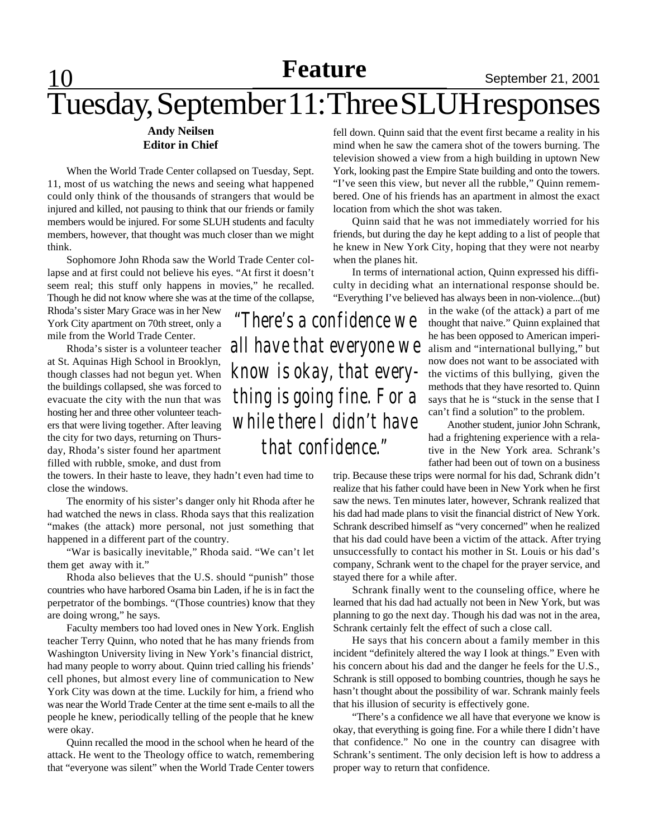# Tuesday, September 11: Three SLUH responses

### **Andy Neilsen Editor in Chief**

When the World Trade Center collapsed on Tuesday, Sept. 11, most of us watching the news and seeing what happened could only think of the thousands of strangers that would be injured and killed, not pausing to think that our friends or family members would be injured. For some SLUH students and faculty members, however, that thought was much closer than we might think.

Sophomore John Rhoda saw the World Trade Center collapse and at first could not believe his eyes. "At first it doesn't seem real; this stuff only happens in movies," he recalled. Though he did not know where she was at the time of the collapse,

Rhoda's sister Mary Grace was in her New York City apartment on 70th street, only a mile from the World Trade Center.

Rhoda's sister is a volunteer teacher at St. Aquinas High School in Brooklyn, though classes had not begun yet. When the buildings collapsed, she was forced to evacuate the city with the nun that was hosting her and three other volunteer teachers that were living together. After leaving the city for two days, returning on Thursday, Rhoda's sister found her apartment filled with rubble, smoke, and dust from

the towers. In their haste to leave, they hadn't even had time to close the windows.

The enormity of his sister's danger only hit Rhoda after he had watched the news in class. Rhoda says that this realization "makes (the attack) more personal, not just something that happened in a different part of the country.

"War is basically inevitable," Rhoda said. "We can't let them get away with it."

Rhoda also believes that the U.S. should "punish" those countries who have harbored Osama bin Laden, if he is in fact the perpetrator of the bombings. "(Those countries) know that they are doing wrong," he says.

Faculty members too had loved ones in New York. English teacher Terry Quinn, who noted that he has many friends from Washington University living in New York's financial district, had many people to worry about. Quinn tried calling his friends' cell phones, but almost every line of communication to New York City was down at the time. Luckily for him, a friend who was near the World Trade Center at the time sent e-mails to all the people he knew, periodically telling of the people that he knew were okay.

Quinn recalled the mood in the school when he heard of the attack. He went to the Theology office to watch, remembering that "everyone was silent" when the World Trade Center towers fell down. Quinn said that the event first became a reality in his mind when he saw the camera shot of the towers burning. The television showed a view from a high building in uptown New York, looking past the Empire State building and onto the towers. "I've seen this view, but never all the rubble," Quinn remembered. One of his friends has an apartment in almost the exact location from which the shot was taken.

Quinn said that he was not immediately worried for his friends, but during the day he kept adding to a list of people that he knew in New York City, hoping that they were not nearby when the planes hit.

In terms of international action, Quinn expressed his difficulty in deciding what an international response should be. "Everything I've believed has always been in non-violence...(but)

*"There's a confidence we all have that everyone we know is okay, that everything is going fine. For a while there I didn't have that confidence."*

in the wake (of the attack) a part of me thought that naive." Quinn explained that he has been opposed to American imperialism and "international bullying," but now does not want to be associated with the victims of this bullying, given the methods that they have resorted to. Quinn says that he is "stuck in the sense that I can't find a solution" to the problem.

Another student, junior John Schrank, had a frightening experience with a relative in the New York area. Schrank's father had been out of town on a business

trip. Because these trips were normal for his dad, Schrank didn't realize that his father could have been in New York when he first saw the news. Ten minutes later, however, Schrank realized that his dad had made plans to visit the financial district of New York. Schrank described himself as "very concerned" when he realized that his dad could have been a victim of the attack. After trying unsuccessfully to contact his mother in St. Louis or his dad's company, Schrank went to the chapel for the prayer service, and stayed there for a while after.

Schrank finally went to the counseling office, where he learned that his dad had actually not been in New York, but was planning to go the next day. Though his dad was not in the area, Schrank certainly felt the effect of such a close call.

He says that his concern about a family member in this incident "definitely altered the way I look at things." Even with his concern about his dad and the danger he feels for the U.S., Schrank is still opposed to bombing countries, though he says he hasn't thought about the possibility of war. Schrank mainly feels that his illusion of security is effectively gone.

"There's a confidence we all have that everyone we know is okay, that everything is going fine. For a while there I didn't have that confidence." No one in the country can disagree with Schrank's sentiment. The only decision left is how to address a proper way to return that confidence.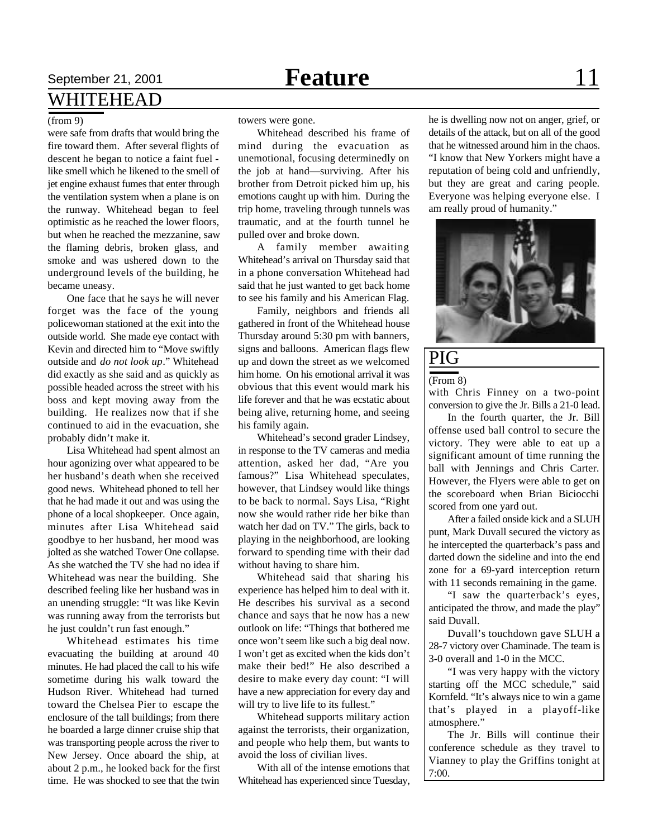### September 21, 2001 **Feature Feature** 11 WHITEHEAD

#### (from 9)

were safe from drafts that would bring the fire toward them. After several flights of descent he began to notice a faint fuel like smell which he likened to the smell of jet engine exhaust fumes that enter through the ventilation system when a plane is on the runway. Whitehead began to feel optimistic as he reached the lower floors, but when he reached the mezzanine, saw the flaming debris, broken glass, and smoke and was ushered down to the underground levels of the building, he became uneasy.

One face that he says he will never forget was the face of the young policewoman stationed at the exit into the outside world. She made eye contact with Kevin and directed him to "Move swiftly outside and *do not look up*." Whitehead did exactly as she said and as quickly as possible headed across the street with his boss and kept moving away from the building. He realizes now that if she continued to aid in the evacuation, she probably didn't make it.

Lisa Whitehead had spent almost an hour agonizing over what appeared to be her husband's death when she received good news. Whitehead phoned to tell her that he had made it out and was using the phone of a local shopkeeper. Once again, minutes after Lisa Whitehead said goodbye to her husband, her mood was jolted as she watched Tower One collapse. As she watched the TV she had no idea if Whitehead was near the building. She described feeling like her husband was in an unending struggle: "It was like Kevin was running away from the terrorists but he just couldn't run fast enough."

Whitehead estimates his time evacuating the building at around 40 minutes. He had placed the call to his wife sometime during his walk toward the Hudson River. Whitehead had turned toward the Chelsea Pier to escape the enclosure of the tall buildings; from there he boarded a large dinner cruise ship that was transporting people across the river to New Jersey. Once aboard the ship, at about 2 p.m., he looked back for the first time. He was shocked to see that the twin

towers were gone.

Whitehead described his frame of mind during the evacuation as unemotional, focusing determinedly on the job at hand—surviving. After his brother from Detroit picked him up, his emotions caught up with him. During the trip home, traveling through tunnels was traumatic, and at the fourth tunnel he pulled over and broke down.

A family member awaiting Whitehead's arrival on Thursday said that in a phone conversation Whitehead had said that he just wanted to get back home to see his family and his American Flag.

Family, neighbors and friends all gathered in front of the Whitehead house Thursday around 5:30 pm with banners, signs and balloons. American flags flew up and down the street as we welcomed him home. On his emotional arrival it was obvious that this event would mark his life forever and that he was ecstatic about being alive, returning home, and seeing his family again.

Whitehead's second grader Lindsey, in response to the TV cameras and media attention, asked her dad, "Are you famous?" Lisa Whitehead speculates, however, that Lindsey would like things to be back to normal. Says Lisa, "Right now she would rather ride her bike than watch her dad on TV." The girls, back to playing in the neighborhood, are looking forward to spending time with their dad without having to share him.

Whitehead said that sharing his experience has helped him to deal with it. He describes his survival as a second chance and says that he now has a new outlook on life: "Things that bothered me once won't seem like such a big deal now. I won't get as excited when the kids don't make their bed!" He also described a desire to make every day count: "I will have a new appreciation for every day and will try to live life to its fullest."

Whitehead supports military action against the terrorists, their organization, and people who help them, but wants to avoid the loss of civilian lives.

With all of the intense emotions that Whitehead has experienced since Tuesday, he is dwelling now not on anger, grief, or details of the attack, but on all of the good that he witnessed around him in the chaos. "I know that New Yorkers might have a reputation of being cold and unfriendly, but they are great and caring people. Everyone was helping everyone else. I am really proud of humanity."



### PIG

(From 8)

with Chris Finney on a two-point conversion to give the Jr. Bills a 21-0 lead.

In the fourth quarter, the Jr. Bill offense used ball control to secure the victory. They were able to eat up a significant amount of time running the ball with Jennings and Chris Carter. However, the Flyers were able to get on the scoreboard when Brian Biciocchi scored from one yard out.

After a failed onside kick and a SLUH punt, Mark Duvall secured the victory as he intercepted the quarterback's pass and darted down the sideline and into the end zone for a 69-yard interception return with 11 seconds remaining in the game.

"I saw the quarterback's eyes, anticipated the throw, and made the play" said Duvall.

Duvall's touchdown gave SLUH a 28-7 victory over Chaminade. The team is 3-0 overall and 1-0 in the MCC.

"I was very happy with the victory starting off the MCC schedule," said Kornfeld. "It's always nice to win a game that's played in a playoff-like atmosphere."

The Jr. Bills will continue their conference schedule as they travel to Vianney to play the Griffins tonight at 7:00.